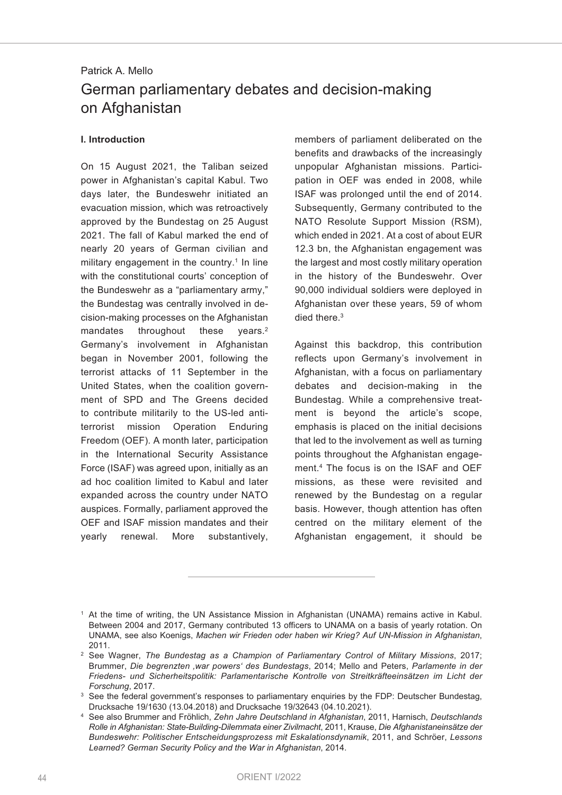# Patrick A. Mello German parliamentary debates and decision-making on Afghanistan

#### **I. Introduction**

On 15 August 2021, the Taliban seized power in Afghanistan's capital Kabul. Two days later, the Bundeswehr initiated an evacuation mission, which was retroactively approved by the Bundestag on 25 August 2021. The fall of Kabul marked the end of nearly 20 years of German civilian and military engagement in the country. <sup>1</sup> In line with the constitutional courts' conception of the Bundeswehr as a "parliamentary army," the Bundestag was centrally involved in decision-making processes on the Afghanistan mandates throughout these vears. $2$ Germany's involvement in Afghanistan began in November 2001, following the terrorist attacks of 11 September in the United States, when the coalition government of SPD and The Greens decided to contribute militarily to the US-led antiterrorist mission Operation Enduring Freedom (OEF). A month later, participation in the International Security Assistance Force (ISAF) was agreed upon, initially as an ad hoc coalition limited to Kabul and later expanded across the country under NATO auspices. Formally, parliament approved the OEF and ISAF mission mandates and their yearly renewal. More substantively,

members of parliament deliberated on the benefits and drawbacks of the increasingly unpopular Afghanistan missions. Participation in OEF was ended in 2008, while ISAF was prolonged until the end of 2014. Subsequently, Germany contributed to the NATO Resolute Support Mission (RSM), which ended in 2021. At a cost of about EUR 12.3 bn, the Afghanistan engagement was the largest and most costly military operation in the history of the Bundeswehr. Over 90,000 individual soldiers were deployed in Afghanistan over these years, 59 of whom died there. 3

Against this backdrop, this contribution reflects upon Germany's involvement in Afghanistan, with a focus on parliamentary debates and decision-making in the Bundestag. While a comprehensive treatment is beyond the article's scope, emphasis is placed on the initial decisions that led to the involvement as well as turning points throughout the Afghanistan engagement. <sup>4</sup> The focus is on the ISAF and OEF missions, as these were revisited and renewed by the Bundestag on a regular basis. However, though attention has often centred on the military element of the Afghanistan engagement, it should be

<sup>1</sup> At the time of writing, the UN Assistance Mission in Afghanistan (UNAMA) remains active in Kabul. Between 2004 and 2017, Germany contributed 13 officers to UNAMA on a basis of yearly rotation. On UNAMA, see also Koenigs, *Machen wir Frieden oder haben wir Krieg? Auf UN-Mission in Afghanistan*, 2011.

<sup>2</sup> See Wagner, *The Bundestag as a Champion of Parliamentary Control of Military Missions*, 2017; Brummer, *Die begrenzten 'war powers' des Bundestags*, 2014; Mello and Peters, *Parlamente in der Friedens- und Sicherheitspolitik: Parlamentarische Kontrolle von Streitkräfteeinsätzen im Licht der Forschung*, 2017.

<sup>&</sup>lt;sup>3</sup> See the federal government's responses to parliamentary enquiries by the FDP: Deutscher Bundestag, Drucksache 19/1630 (13.04.2018) and Drucksache 19/32643 (04.10.2021).

<sup>4</sup> See also Brummer and Fröhlich, *Zehn Jahre Deutschland in Afghanistan*, 2011, Harnisch, *Deutschlands Rolle in Afghanistan: State-Building-Dilemmata einer Zivilmacht*, 2011, Krause, *Die Afghanistaneinsätze der Bundeswehr: Politischer Entscheidungsprozess mit Eskalationsdynamik*, 2011, and Schröer, *Lessons Learned? German Security Policy and the War in Afghanistan*, 2014.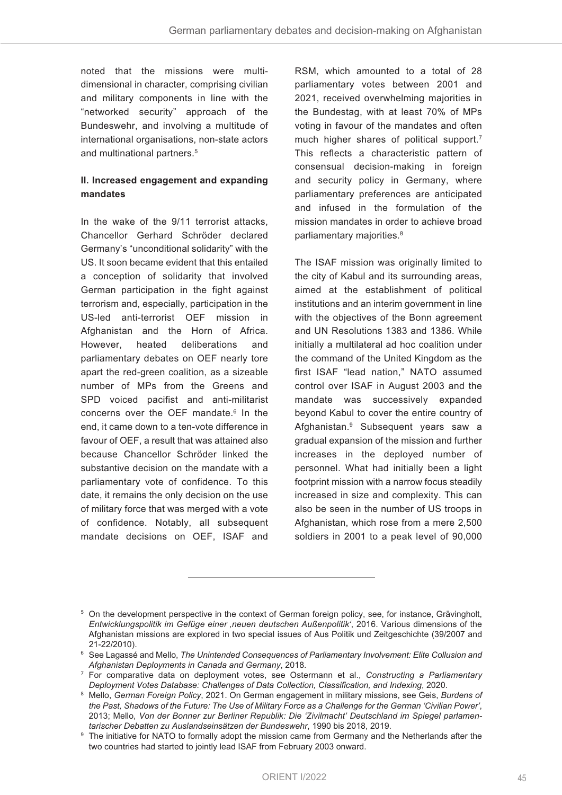noted that the missions were multidimensional in character, comprising civilian and military components in line with the "networked security" approach of the Bundeswehr, and involving a multitude of international organisations, non-state actors and multinational partners. 5

## **II. Increased engagement and expanding mandates**

In the wake of the 9/11 terrorist attacks, Chancellor Gerhard Schröder declared Germany's "unconditional solidarity" with the US. It soon became evident that this entailed a conception of solidarity that involved German participation in the fight against terrorism and, especially, participation in the US-led anti-terrorist OEF mission in Afghanistan and the Horn of Africa. However, heated deliberations and parliamentary debates on OEF nearly tore apart the red-green coalition, as a sizeable number of MPs from the Greens and SPD voiced pacifist and anti-militarist concerns over the OEF mandate. <sup>6</sup> In the end, it came down to a ten-vote difference in favour of OEF, a result that was attained also because Chancellor Schröder linked the substantive decision on the mandate with a parliamentary vote of confidence. To this date, it remains the only decision on the use of military force that was merged with a vote of confidence. Notably, all subsequent mandate decisions on OEF, ISAF and

RSM, which amounted to a total of 28 parliamentary votes between 2001 and 2021, received overwhelming majorities in the Bundestag, with at least 70% of MPs voting in favour of the mandates and often much higher shares of political support. 7 This reflects a characteristic pattern of consensual decision-making in foreign and security policy in Germany, where parliamentary preferences are anticipated and infused in the formulation of the mission mandates in order to achieve broad parliamentary majorities. 8

The ISAF mission was originally limited to the city of Kabul and its surrounding areas, aimed at the establishment of political institutions and an interim government in line with the objectives of the Bonn agreement and UN Resolutions 1383 and 1386. While initially a multilateral ad hoc coalition under the command of the United Kingdom as the first ISAF "lead nation," NATO assumed control over ISAF in August 2003 and the mandate was successively expanded beyond Kabul to cover the entire country of Afghanistan. <sup>9</sup> Subsequent years saw a gradual expansion of the mission and further increases in the deployed number of personnel. What had initially been a light footprint mission with a narrow focus steadily increased in size and complexity. This can also be seen in the number of US troops in Afghanistan, which rose from a mere 2,500 soldiers in 2001 to a peak level of 90,000

<sup>&</sup>lt;sup>5</sup> On the development perspective in the context of German foreign policy, see, for instance, Grävingholt, *Entwicklungspolitik im Gefüge einer 'neuen deutschen Außenpolitik'*, 2016. Various dimensions of the Afghanistan missions are explored in two special issues of Aus Politik und Zeitgeschichte (39/2007 and 21-22/2010).

<sup>6</sup> See Lagassé and Mello, *The Unintended Consequences of Parliamentary Involvement: Elite Collusion and Afghanistan Deployments in Canada and Germany*, 2018.

<sup>7</sup> For comparative data on deployment votes, see Ostermann et al., *Constructing a Parliamentary Deployment Votes Database: Challenges of Data Collection, Classification, and Indexing*, 2020.

<sup>8</sup> Mello, *German Foreign Policy*, 2021. On German engagement in military missions, see Geis, *Burdens of* the Past, Shadows of the Future: The Use of Military Force as a Challenge for the German 'Civilian Power', 2013; Mello, *Von der Bonner zur Berliner Republik: Die 'Zivilmacht' Deutschland im Spiegel parlamentarischer Debatten zu Auslandseinsätzen der Bundeswehr*, 1990 bis 2018, 2019.

<sup>&</sup>lt;sup>9</sup> The initiative for NATO to formally adopt the mission came from Germany and the Netherlands after the two countries had started to jointly lead ISAF from February 2003 onward.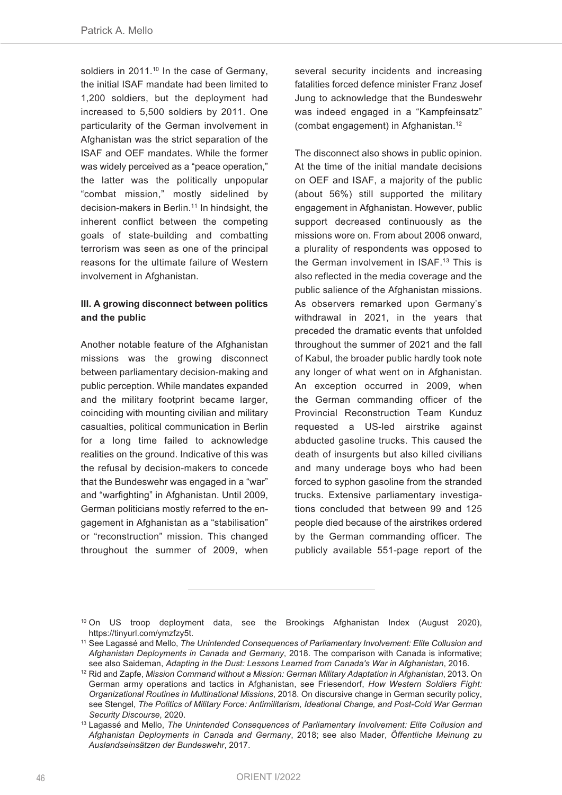soldiers in 2011. <sup>10</sup> In the case of Germany, the initial ISAF mandate had been limited to 1,200 soldiers, but the deployment had increased to 5,500 soldiers by 2011. One particularity of the German involvement in Afghanistan was the strict separation of the ISAF and OEF mandates. While the former was widely perceived as a "peace operation," the latter was the politically unpopular "combat mission," mostly sidelined by decision-makers in Berlin. <sup>11</sup> In hindsight, the inherent conflict between the competing goals of state-building and combatting terrorism was seen as one of the principal reasons for the ultimate failure of Western involvement in Afghanistan.

## **III. A growing disconnect between politics and the public**

Another notable feature of the Afghanistan missions was the growing disconnect between parliamentary decision-making and public perception. While mandates expanded and the military footprint became larger, coinciding with mounting civilian and military casualties, political communication in Berlin for a long time failed to acknowledge realities on the ground. Indicative of this was the refusal by decision-makers to concede that the Bundeswehr was engaged in a "war" and "warfighting" in Afghanistan. Until 2009, German politicians mostly referred to the engagement in Afghanistan as a "stabilisation" or "reconstruction" mission. This changed throughout the summer of 2009, when

several security incidents and increasing fatalities forced defence minister Franz Josef Jung to acknowledge that the Bundeswehr was indeed engaged in a "Kampfeinsatz" (combat engagement) in Afghanistan. 12

The disconnect also shows in public opinion. At the time of the initial mandate decisions on OEF and ISAF, a majority of the public (about 56%) still supported the military engagement in Afghanistan. However, public support decreased continuously as the missions wore on. From about 2006 onward, a plurality of respondents was opposed to the German involvement in ISAF. <sup>13</sup> This is also reflected in the media coverage and the public salience of the Afghanistan missions. As observers remarked upon Germany's withdrawal in 2021, in the years that preceded the dramatic events that unfolded throughout the summer of 2021 and the fall of Kabul, the broader public hardly took note any longer of what went on in Afghanistan. An exception occurred in 2009, when the German commanding officer of the Provincial Reconstruction Team Kunduz requested a US-led airstrike against abducted gasoline trucks. This caused the death of insurgents but also killed civilians and many underage boys who had been forced to syphon gasoline from the stranded trucks. Extensive parliamentary investigations concluded that between 99 and 125 people died because of the airstrikes ordered by the German commanding officer. The publicly available 551-page report of the

<sup>&</sup>lt;sup>10</sup> On US troop deployment data, see the Brookings Afghanistan Index (August 2020), https://tinyurl.com/ymzfzy5t.

<sup>11</sup> See Lagassé and Mello, *The Unintended Consequences of Parliamentary Involvement: Elite Collusion and Afghanistan Deployments in Canada and Germany*, 2018. The comparison with Canada is informative; see also Saideman, *Adapting in the Dust: Lessons Learned from Canada's War in Afghanistan*, 2016.

<sup>12</sup> Rid and Zapfe, *Mission Command without a Mission: German Military Adaptation in Afghanistan*, 2013. On German army operations and tactics in Afghanistan, see Friesendorf, *How Western Soldiers Fight: Organizational Routines in Multinational Missions*, 2018. On discursive change in German security policy, see Stengel, *The Politics of Military Force: Antimilitarism, Ideational Change, and Post-Cold War German Security Discourse*, 2020.

<sup>13</sup> Lagassé and Mello, *The Unintended Consequences of Parliamentary Involvement: Elite Collusion and Afghanistan Deployments in Canada and Germany*, 2018; see also Mader, *Öffentliche Meinung zu Auslandseinsätzen der Bundeswehr*, 2017.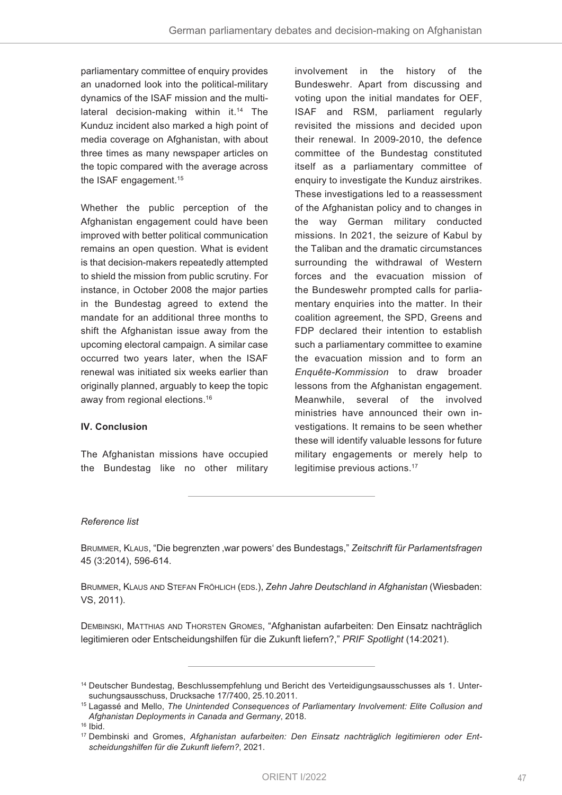parliamentary committee of enquiry provides an unadorned look into the political-military dynamics of the ISAF mission and the multilateral decision-making within it. <sup>14</sup> The Kunduz incident also marked a high point of media coverage on Afghanistan, with about three times as many newspaper articles on the topic compared with the average across the ISAF engagement. 15

Whether the public perception of the Afghanistan engagement could have been improved with better political communication remains an open question. What is evident is that decision-makers repeatedly attempted to shield the mission from public scrutiny. For instance, in October 2008 the major parties in the Bundestag agreed to extend the mandate for an additional three months to shift the Afghanistan issue away from the upcoming electoral campaign. A similar case occurred two years later, when the ISAF renewal was initiated six weeks earlier than originally planned, arguably to keep the topic away from regional elections. 16

## **IV. Conclusion**

The Afghanistan missions have occupied the Bundestag like no other military

involvement in the history of the Bundeswehr. Apart from discussing and voting upon the initial mandates for OEF, ISAF and RSM, parliament regularly revisited the missions and decided upon their renewal. In 2009-2010, the defence committee of the Bundestag constituted itself as a parliamentary committee of enquiry to investigate the Kunduz airstrikes. These investigations led to a reassessment of the Afghanistan policy and to changes in the way German military conducted missions. In 2021, the seizure of Kabul by the Taliban and the dramatic circumstances surrounding the withdrawal of Western forces and the evacuation mission of the Bundeswehr prompted calls for parliamentary enquiries into the matter. In their coalition agreement, the SPD, Greens and FDP declared their intention to establish such a parliamentary committee to examine the evacuation mission and to form an *Enquête-Kommission* to draw broader lessons from the Afghanistan engagement. Meanwhile, several of the involved ministries have announced their own investigations. It remains to be seen whether these will identify valuable lessons for future military engagements or merely help to legitimise previous actions. 17

#### *Reference list*

BRUMMER, KLAUS, "Die begrenzten 'war powers' des Bundestags," *Zeitschrift für Parlamentsfragen* 45 (3:2014), 596-614.

BRUMMER, KLAUS AND STEFAN FRÖHLICH (EDS.), *Zehn Jahre Deutschland in Afghanistan* (Wiesbaden: VS, 2011).

DEMBINSKI, MATTHIAS AND THORSTEN GROMES, "Afghanistan aufarbeiten: Den Einsatz nachträglich legitimieren oder Entscheidungshilfen für die Zukunft liefern?," *PRIF Spotlight* (14:2021).

<sup>14</sup> Deutscher Bundestag, Beschlussempfehlung und Bericht des Verteidigungsausschusses als 1. Untersuchungsausschuss, Drucksache 17/7400, 25.10.2011.

<sup>15</sup> Lagassé and Mello, *The Unintended Consequences of Parliamentary Involvement: Elite Collusion and Afghanistan Deployments in Canada and Germany*, 2018.

 $16$  Ibid.

<sup>17</sup> Dembinski and Gromes, *Afghanistan aufarbeiten: Den Einsatz nachträglich legitimieren oder Entscheidungshilfen für die Zukunft liefern?*, 2021.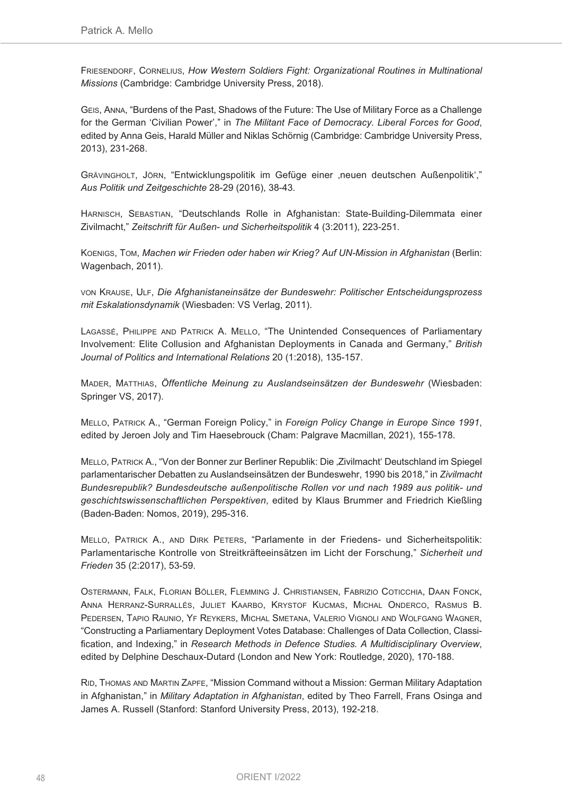FRIESENDORF, CORNELIUS, *How Western Soldiers Fight: Organizational Routines in Multinational Missions* (Cambridge: Cambridge University Press, 2018).

GEIS, ANNA, "Burdens of the Past, Shadows of the Future: The Use of Military Force as a Challenge for the German 'Civilian Power'," in *The Militant Face of Democracy. Liberal Forces for Good*, edited by Anna Geis, Harald Müller and Niklas Schörnig (Cambridge: Cambridge University Press, 2013), 231-268.

GRÄVINGHOLT, JÖRN, "Entwicklungspolitik im Gefüge einer 'neuen deutschen Außenpolitik'," *Aus Politik und Zeitgeschichte* 28-29 (2016), 38-43.

HARNISCH, SEBASTIAN, "Deutschlands Rolle in Afghanistan: State-Building-Dilemmata einer Zivilmacht," *Zeitschrift für Außen- und Sicherheitspolitik* 4 (3:2011), 223-251.

KOENIGS, TOM, *Machen wir Frieden oder haben wir Krieg? Auf UN-Mission in Afghanistan* (Berlin: Wagenbach, 2011).

VON KRAUSE, ULF, *Die Afghanistaneinsätze der Bundeswehr: Politischer Entscheidungsprozess mit Eskalationsdynamik* (Wiesbaden: VS Verlag, 2011).

LAGASSÉ, PHILIPPE AND PATRICK A. MELLO, "The Unintended Consequences of Parliamentary Involvement: Elite Collusion and Afghanistan Deployments in Canada and Germany," *British Journal of Politics and International Relations* 20 (1:2018), 135-157.

MADER, MATTHIAS, *Öffentliche Meinung zu Auslandseinsätzen der Bundeswehr* (Wiesbaden: Springer VS, 2017).

MELLO, PATRICK A., "German Foreign Policy," in *Foreign Policy Change in Europe Since 1991*, edited by Jeroen Joly and Tim Haesebrouck (Cham: Palgrave Macmillan, 2021), 155-178.

MELLO, PATRICK A., "Von der Bonner zur Berliner Republik: Die 'Zivilmacht' Deutschland im Spiegel parlamentarischer Debatten zu Auslandseinsätzen der Bundeswehr, 1990 bis 2018," in *Zivilmacht Bundesrepublik? Bundesdeutsche außenpolitische Rollen vor und nach 1989 aus politik- und geschichtswissenschaftlichen Perspektiven*, edited by Klaus Brummer and Friedrich Kießling (Baden-Baden: Nomos, 2019), 295-316.

MELLO, PATRICK A., AND DIRK PETERS, "Parlamente in der Friedens- und Sicherheitspolitik: Parlamentarische Kontrolle von Streitkräfteeinsätzen im Licht der Forschung," *Sicherheit und Frieden* 35 (2:2017), 53-59.

OSTERMANN, FALK, FLORIAN BÖLLER, FLEMMING J. CHRISTIANSEN, FABRIZIO COTICCHIA, DAAN FONCK, ANNA HERRANZ-SURRALLÉS, JULIET KAARBO, KRYSTOF KUCMAS, MICHAL ONDERCO, RASMUS B. PEDERSEN, TAPIO RAUNIO, YF REYKERS, MICHAL SMETANA, VALERIO VIGNOLI AND WOLFGANG WAGNER, "Constructing a Parliamentary Deployment Votes Database: Challenges of Data Collection, Classification, and Indexing," in *Research Methods in Defence Studies. A Multidisciplinary Overview*, edited by Delphine Deschaux-Dutard (London and New York: Routledge, 2020), 170-188.

RID, THOMAS AND MARTIN ZAPFE, "Mission Command without a Mission: German Military Adaptation in Afghanistan," in *Military Adaptation in Afghanistan*, edited by Theo Farrell, Frans Osinga and James A. Russell (Stanford: Stanford University Press, 2013), 192-218.